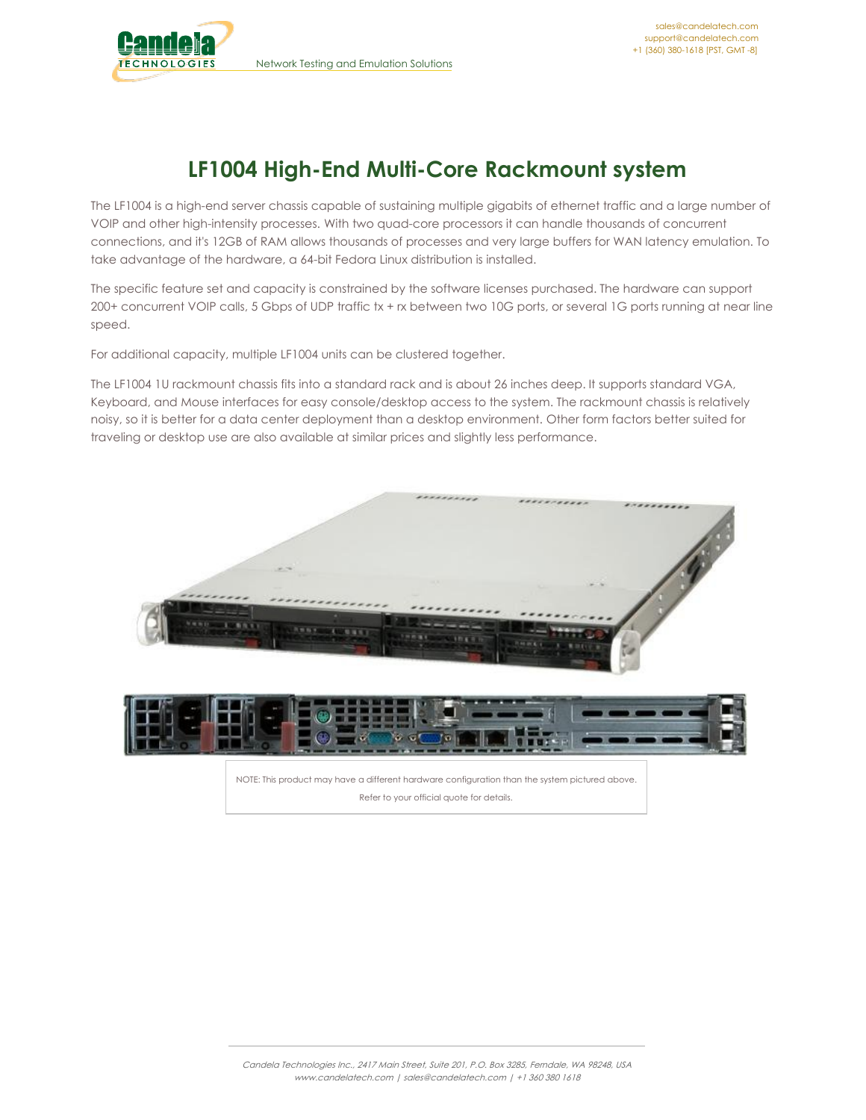

## **LF1004 High-End Multi-Core Rackmount system**

The LF1004 is a high-end server chassis capable of sustaining multiple gigabits of ethernet traffic and a large number of VOIP and other high-intensity processes. With two quad-core processors it can handle thousands of concurrent connections, and it's 12GB of RAM allows thousands of processes and very large buffers for WAN latency emulation. To take advantage of the hardware, a 64-bit Fedora Linux distribution is installed.

The specific feature set and capacity is constrained by the software licenses purchased. The hardware can support 200+ concurrent VOIP calls, 5 Gbps of UDP traffic tx + rx between two 10G ports, or several 1G ports running at near line speed.

For additional capacity, multiple LF1004 units can be clustered together.

The LF1004 1U rackmount chassis fits into a standard rack and is about 26 inches deep. It supports standard VGA, Keyboard, and Mouse interfaces for easy console/desktop access to the system. The rackmount chassis is relatively noisy, so it is better for a data center deployment than a desktop environment. Other form factors better suited for traveling or desktop use are also available at similar prices and slightly less performance.



Refer to your official quote for details.